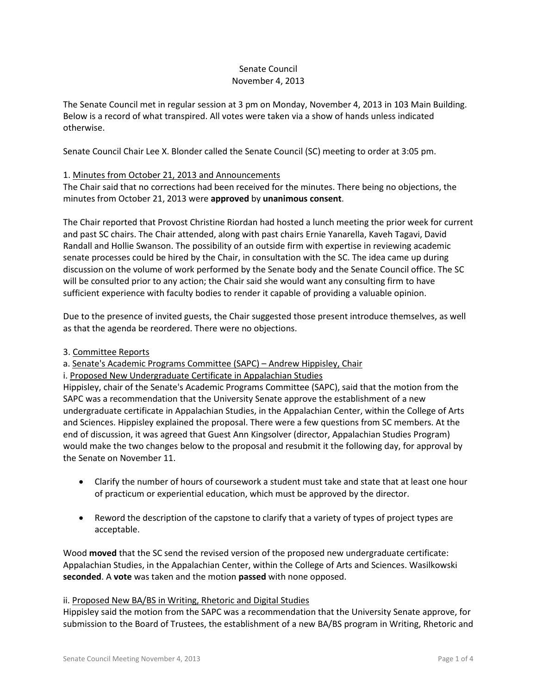### Senate Council November 4, 2013

The Senate Council met in regular session at 3 pm on Monday, November 4, 2013 in 103 Main Building. Below is a record of what transpired. All votes were taken via a show of hands unless indicated otherwise.

Senate Council Chair Lee X. Blonder called the Senate Council (SC) meeting to order at 3:05 pm.

# 1. Minutes from October 21, 2013 and Announcements

The Chair said that no corrections had been received for the minutes. There being no objections, the minutes from October 21, 2013 were **approved** by **unanimous consent**.

The Chair reported that Provost Christine Riordan had hosted a lunch meeting the prior week for current and past SC chairs. The Chair attended, along with past chairs Ernie Yanarella, Kaveh Tagavi, David Randall and Hollie Swanson. The possibility of an outside firm with expertise in reviewing academic senate processes could be hired by the Chair, in consultation with the SC. The idea came up during discussion on the volume of work performed by the Senate body and the Senate Council office. The SC will be consulted prior to any action; the Chair said she would want any consulting firm to have sufficient experience with faculty bodies to render it capable of providing a valuable opinion.

Due to the presence of invited guests, the Chair suggested those present introduce themselves, as well as that the agenda be reordered. There were no objections.

## 3. Committee Reports

a. Senate's Academic Programs Committee (SAPC) – Andrew Hippisley, Chair

i. Proposed New Undergraduate Certificate in Appalachian Studies

Hippisley, chair of the Senate's Academic Programs Committee (SAPC), said that the motion from the SAPC was a recommendation that the University Senate approve the establishment of a new undergraduate certificate in Appalachian Studies, in the Appalachian Center, within the College of Arts and Sciences. Hippisley explained the proposal. There were a few questions from SC members. At the end of discussion, it was agreed that Guest Ann Kingsolver (director, Appalachian Studies Program) would make the two changes below to the proposal and resubmit it the following day, for approval by the Senate on November 11.

- Clarify the number of hours of coursework a student must take and state that at least one hour of practicum or experiential education, which must be approved by the director.
- Reword the description of the capstone to clarify that a variety of types of project types are acceptable.

Wood **moved** that the SC send the revised version of the proposed new undergraduate certificate: Appalachian Studies, in the Appalachian Center, within the College of Arts and Sciences. Wasilkowski **seconded**. A **vote** was taken and the motion **passed** with none opposed.

## ii. Proposed New BA/BS in Writing, Rhetoric and Digital Studies

Hippisley said the motion from the SAPC was a recommendation that the University Senate approve, for submission to the Board of Trustees, the establishment of a new BA/BS program in Writing, Rhetoric and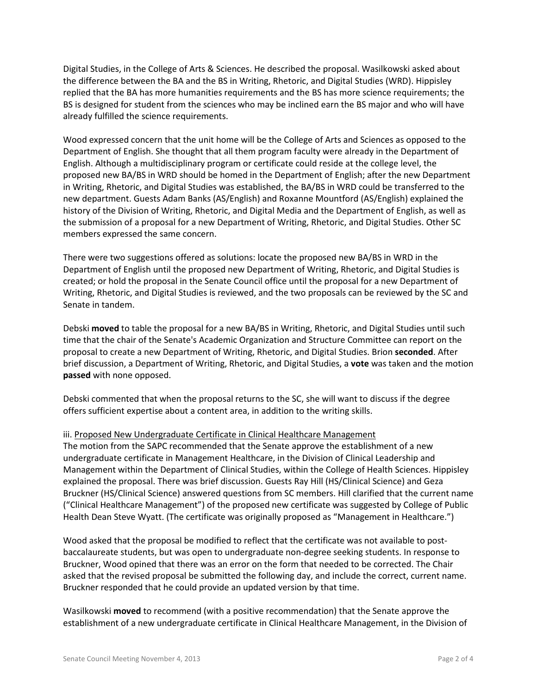Digital Studies, in the College of Arts & Sciences. He described the proposal. Wasilkowski asked about the difference between the BA and the BS in Writing, Rhetoric, and Digital Studies (WRD). Hippisley replied that the BA has more humanities requirements and the BS has more science requirements; the BS is designed for student from the sciences who may be inclined earn the BS major and who will have already fulfilled the science requirements.

Wood expressed concern that the unit home will be the College of Arts and Sciences as opposed to the Department of English. She thought that all them program faculty were already in the Department of English. Although a multidisciplinary program or certificate could reside at the college level, the proposed new BA/BS in WRD should be homed in the Department of English; after the new Department in Writing, Rhetoric, and Digital Studies was established, the BA/BS in WRD could be transferred to the new department. Guests Adam Banks (AS/English) and Roxanne Mountford (AS/English) explained the history of the Division of Writing, Rhetoric, and Digital Media and the Department of English, as well as the submission of a proposal for a new Department of Writing, Rhetoric, and Digital Studies. Other SC members expressed the same concern.

There were two suggestions offered as solutions: locate the proposed new BA/BS in WRD in the Department of English until the proposed new Department of Writing, Rhetoric, and Digital Studies is created; or hold the proposal in the Senate Council office until the proposal for a new Department of Writing, Rhetoric, and Digital Studies is reviewed, and the two proposals can be reviewed by the SC and Senate in tandem.

Debski **moved** to table the proposal for a new BA/BS in Writing, Rhetoric, and Digital Studies until such time that the chair of the Senate's Academic Organization and Structure Committee can report on the proposal to create a new Department of Writing, Rhetoric, and Digital Studies. Brion **seconded**. After brief discussion, a Department of Writing, Rhetoric, and Digital Studies, a **vote** was taken and the motion **passed** with none opposed.

Debski commented that when the proposal returns to the SC, she will want to discuss if the degree offers sufficient expertise about a content area, in addition to the writing skills.

## iii. Proposed New Undergraduate Certificate in Clinical Healthcare Management

The motion from the SAPC recommended that the Senate approve the establishment of a new undergraduate certificate in Management Healthcare, in the Division of Clinical Leadership and Management within the Department of Clinical Studies, within the College of Health Sciences. Hippisley explained the proposal. There was brief discussion. Guests Ray Hill (HS/Clinical Science) and Geza Bruckner (HS/Clinical Science) answered questions from SC members. Hill clarified that the current name ("Clinical Healthcare Management") of the proposed new certificate was suggested by College of Public Health Dean Steve Wyatt. (The certificate was originally proposed as "Management in Healthcare.")

Wood asked that the proposal be modified to reflect that the certificate was not available to postbaccalaureate students, but was open to undergraduate non-degree seeking students. In response to Bruckner, Wood opined that there was an error on the form that needed to be corrected. The Chair asked that the revised proposal be submitted the following day, and include the correct, current name. Bruckner responded that he could provide an updated version by that time.

Wasilkowski **moved** to recommend (with a positive recommendation) that the Senate approve the establishment of a new undergraduate certificate in Clinical Healthcare Management, in the Division of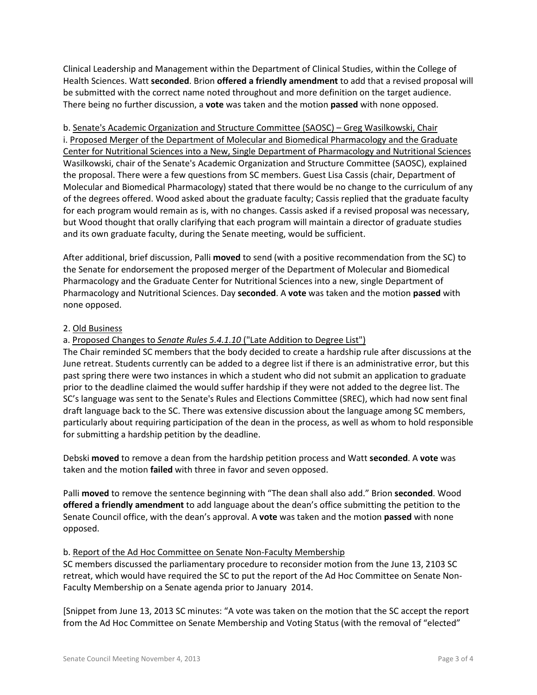Clinical Leadership and Management within the Department of Clinical Studies, within the College of Health Sciences. Watt **seconded**. Brion **offered a friendly amendment** to add that a revised proposal will be submitted with the correct name noted throughout and more definition on the target audience. There being no further discussion, a **vote** was taken and the motion **passed** with none opposed.

b. Senate's Academic Organization and Structure Committee (SAOSC) – Greg Wasilkowski, Chair i. Proposed Merger of the Department of Molecular and Biomedical Pharmacology and the Graduate Center for Nutritional Sciences into a New, Single Department of Pharmacology and Nutritional Sciences Wasilkowski, chair of the Senate's Academic Organization and Structure Committee (SAOSC), explained the proposal. There were a few questions from SC members. Guest Lisa Cassis (chair, Department of Molecular and Biomedical Pharmacology) stated that there would be no change to the curriculum of any of the degrees offered. Wood asked about the graduate faculty; Cassis replied that the graduate faculty for each program would remain as is, with no changes. Cassis asked if a revised proposal was necessary, but Wood thought that orally clarifying that each program will maintain a director of graduate studies and its own graduate faculty, during the Senate meeting, would be sufficient.

After additional, brief discussion, Palli **moved** to send (with a positive recommendation from the SC) to the Senate for endorsement the proposed merger of the Department of Molecular and Biomedical Pharmacology and the Graduate Center for Nutritional Sciences into a new, single Department of Pharmacology and Nutritional Sciences. Day **seconded**. A **vote** was taken and the motion **passed** with none opposed.

## 2. Old Business

# a. Proposed Changes to *Senate Rules 5.4.1.10* ("Late Addition to Degree List")

The Chair reminded SC members that the body decided to create a hardship rule after discussions at the June retreat. Students currently can be added to a degree list if there is an administrative error, but this past spring there were two instances in which a student who did not submit an application to graduate prior to the deadline claimed the would suffer hardship if they were not added to the degree list. The SC's language was sent to the Senate's Rules and Elections Committee (SREC), which had now sent final draft language back to the SC. There was extensive discussion about the language among SC members, particularly about requiring participation of the dean in the process, as well as whom to hold responsible for submitting a hardship petition by the deadline.

Debski **moved** to remove a dean from the hardship petition process and Watt **seconded**. A **vote** was taken and the motion **failed** with three in favor and seven opposed.

Palli **moved** to remove the sentence beginning with "The dean shall also add." Brion **seconded**. Wood **offered a friendly amendment** to add language about the dean's office submitting the petition to the Senate Council office, with the dean's approval. A **vote** was taken and the motion **passed** with none opposed.

## b. Report of the Ad Hoc Committee on Senate Non-Faculty Membership

SC members discussed the parliamentary procedure to reconsider motion from the June 13, 2103 SC retreat, which would have required the SC to put the report of the Ad Hoc Committee on Senate Non-Faculty Membership on a Senate agenda prior to January 2014.

[Snippet from June 13, 2013 SC minutes: "A vote was taken on the motion that the SC accept the report from the Ad Hoc Committee on Senate Membership and Voting Status (with the removal of "elected"